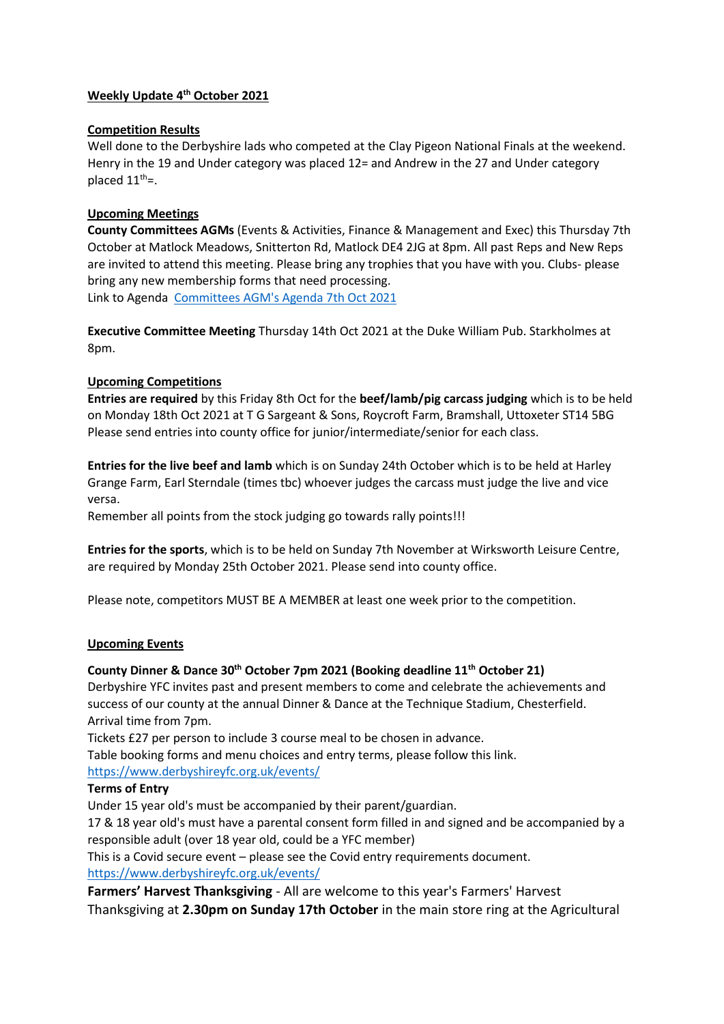### **Weekly Update 4th October 2021**

### **Competition Results**

Well done to the Derbyshire lads who competed at the Clay Pigeon National Finals at the weekend. Henry in the 19 and Under category was placed 12= and Andrew in the 27 and Under category placed  $11^{th}$ =.

## **Upcoming Meetings**

**County Committees AGMs** (Events & Activities, Finance & Management and Exec) this Thursday 7th October at Matlock Meadows, Snitterton Rd, Matlock DE4 2JG at 8pm. All past Reps and New Reps are invited to attend this meeting. Please bring any trophies that you have with you. Clubs- please bring any new membership forms that need processing. Link to Agenda [Committees AGM's Agenda 7th Oct 2021](https://www.derbyshireyfc.org.uk/protected/?comeFrom=https%3A%2F%2Fwww.derbyshireyfc.org.uk%2Fresources%2F&)

**Executive Committee Meeting** Thursday 14th Oct 2021 at the Duke William Pub. Starkholmes at 8pm.

### **Upcoming Competitions**

**Entries are required** by this Friday 8th Oct for the **beef/lamb/pig carcass judging** which is to be held on Monday 18th Oct 2021 at T G Sargeant & Sons, Roycroft Farm, Bramshall, Uttoxeter ST14 5BG Please send entries into county office for junior/intermediate/senior for each class.

**Entries for the live beef and lamb** which is on Sunday 24th October which is to be held at Harley Grange Farm, Earl Sterndale (times tbc) whoever judges the carcass must judge the live and vice versa.

Remember all points from the stock judging go towards rally points!!!

**Entries for the sports**, which is to be held on Sunday 7th November at Wirksworth Leisure Centre, are required by Monday 25th October 2021. Please send into county office.

Please note, competitors MUST BE A MEMBER at least one week prior to the competition.

#### **Upcoming Events**

# **County Dinner & Dance 30th October 7pm 2021 (Booking deadline 11th October 21)**

Derbyshire YFC invites past and present members to come and celebrate the achievements and success of our county at the annual Dinner & Dance at the Technique Stadium, Chesterfield. Arrival time from 7pm.

Tickets £27 per person to include 3 course meal to be chosen in advance.

Table booking forms and menu choices and entry terms, please follow this link. <https://www.derbyshireyfc.org.uk/events/>

#### **Terms of Entry**

Under 15 year old's must be accompanied by their parent/guardian.

17 & 18 year old's must have a parental consent form filled in and signed and be accompanied by a responsible adult (over 18 year old, could be a YFC member)

This is a Covid secure event – please see the Covid entry requirements document. <https://www.derbyshireyfc.org.uk/events/>

**Farmers' Harvest Thanksgiving** - All are welcome to this year's Farmers' Harvest Thanksgiving at **2.30pm on Sunday 17th October** in the main store ring at the Agricultural